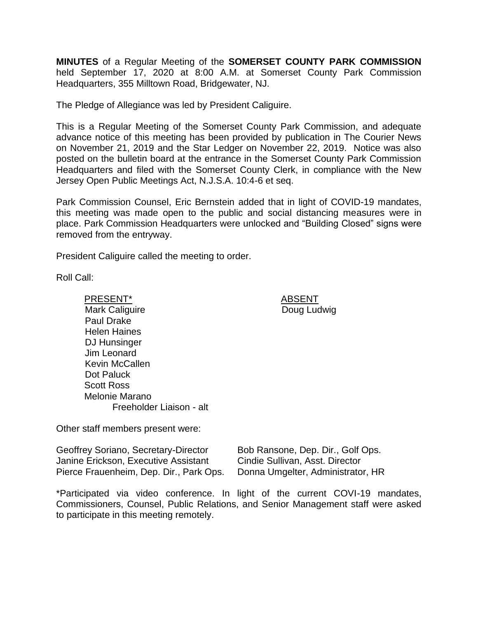**MINUTES** of a Regular Meeting of the **SOMERSET COUNTY PARK COMMISSION** held September 17, 2020 at 8:00 A.M. at Somerset County Park Commission Headquarters, 355 Milltown Road, Bridgewater, NJ.

The Pledge of Allegiance was led by President Caliguire.

This is a Regular Meeting of the Somerset County Park Commission, and adequate advance notice of this meeting has been provided by publication in The Courier News on November 21, 2019 and the Star Ledger on November 22, 2019. Notice was also posted on the bulletin board at the entrance in the Somerset County Park Commission Headquarters and filed with the Somerset County Clerk, in compliance with the New Jersey Open Public Meetings Act, N.J.S.A. 10:4-6 et seq.

Park Commission Counsel, Eric Bernstein added that in light of COVID-19 mandates, this meeting was made open to the public and social distancing measures were in place. Park Commission Headquarters were unlocked and "Building Closed" signs were removed from the entryway.

President Caliguire called the meeting to order.

Roll Call:

PRESENT\* ABSENT Mark Caliguire Paul Drake Helen Haines DJ Hunsinger Jim Leonard Kevin McCallen Dot Paluck Scott Ross Melonie Marano Freeholder Liaison - alt

Doug Ludwig

Other staff members present were:

Geoffrey Soriano, Secretary-Director Janine Erickson, Executive Assistant Pierce Frauenheim, Dep. Dir., Park Ops. Bob Ransone, Dep. Dir., Golf Ops. Cindie Sullivan, Asst. Director Donna Umgelter, Administrator, HR

\*Participated via video conference. In light of the current COVI-19 mandates, Commissioners, Counsel, Public Relations, and Senior Management staff were asked to participate in this meeting remotely.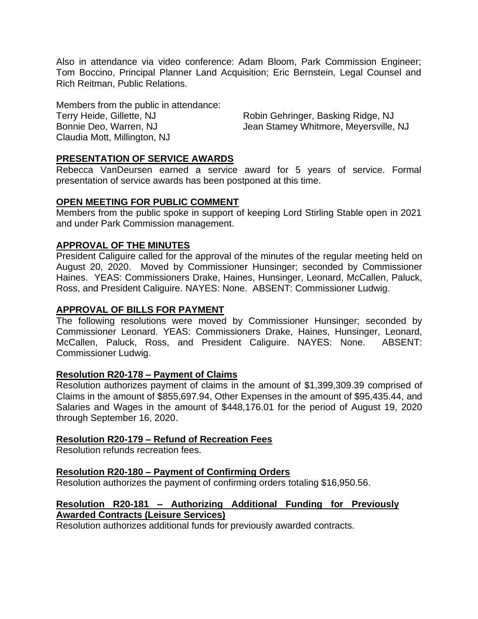Also in attendance via video conference: Adam Bloom, Park Commission Engineer; Tom Boccino, Principal Planner Land Acquisition; Eric Bernstein, Legal Counsel and Rich Reitman, Public Relations.

Members from the public in attendance: Terry Heide, Gillette, NJ Robin Gehringer, Basking Ridge, NJ Claudia Mott, Millington, NJ

Bonnie Deo, Warren, NJ Sanner Metamey Whitmore, Meyersville, NJ

## **PRESENTATION OF SERVICE AWARDS**

Rebecca VanDeursen earned a service award for 5 years of service. Formal presentation of service awards has been postponed at this time.

## **OPEN MEETING FOR PUBLIC COMMENT**

Members from the public spoke in support of keeping Lord Stirling Stable open in 2021 and under Park Commission management.

## **APPROVAL OF THE MINUTES**

President Caliguire called for the approval of the minutes of the regular meeting held on August 20, 2020. Moved by Commissioner Hunsinger; seconded by Commissioner Haines. YEAS: Commissioners Drake, Haines, Hunsinger, Leonard, McCallen, Paluck, Ross, and President Caliguire. NAYES: None. ABSENT: Commissioner Ludwig.

## **APPROVAL OF BILLS FOR PAYMENT**

The following resolutions were moved by Commissioner Hunsinger; seconded by Commissioner Leonard. YEAS: Commissioners Drake, Haines, Hunsinger, Leonard, McCallen, Paluck, Ross, and President Caliguire. NAYES: None. ABSENT: Commissioner Ludwig.

### **Resolution R20-178 – Payment of Claims**

Resolution authorizes payment of claims in the amount of \$1,399,309.39 comprised of Claims in the amount of \$855,697.94, Other Expenses in the amount of \$95,435.44, and Salaries and Wages in the amount of \$448,176.01 for the period of August 19, 2020 through September 16, 2020.

### **Resolution R20-179 – Refund of Recreation Fees**

Resolution refunds recreation fees.

### **Resolution R20-180 – Payment of Confirming Orders**

Resolution authorizes the payment of confirming orders totaling \$16,950.56.

## **Resolution R20-181 – Authorizing Additional Funding for Previously Awarded Contracts (Leisure Services)**

Resolution authorizes additional funds for previously awarded contracts.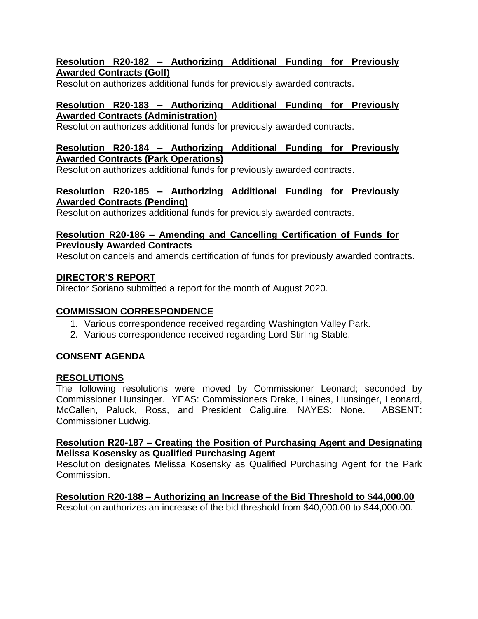# **Resolution R20-182 – Authorizing Additional Funding for Previously Awarded Contracts (Golf)**

Resolution authorizes additional funds for previously awarded contracts.

# **Resolution R20-183 – Authorizing Additional Funding for Previously Awarded Contracts (Administration)**

Resolution authorizes additional funds for previously awarded contracts.

# **Resolution R20-184 – Authorizing Additional Funding for Previously Awarded Contracts (Park Operations)**

Resolution authorizes additional funds for previously awarded contracts.

# **Resolution R20-185 – Authorizing Additional Funding for Previously Awarded Contracts (Pending)**

Resolution authorizes additional funds for previously awarded contracts.

# **Resolution R20-186 – Amending and Cancelling Certification of Funds for Previously Awarded Contracts**

Resolution cancels and amends certification of funds for previously awarded contracts.

# **DIRECTOR'S REPORT**

Director Soriano submitted a report for the month of August 2020.

# **COMMISSION CORRESPONDENCE**

- 1. Various correspondence received regarding Washington Valley Park.
- 2. Various correspondence received regarding Lord Stirling Stable.

# **CONSENT AGENDA**

# **RESOLUTIONS**

The following resolutions were moved by Commissioner Leonard; seconded by Commissioner Hunsinger. YEAS: Commissioners Drake, Haines, Hunsinger, Leonard, McCallen, Paluck, Ross, and President Caliguire. NAYES: None. ABSENT: Commissioner Ludwig.

## **Resolution R20-187 – Creating the Position of Purchasing Agent and Designating Melissa Kosensky as Qualified Purchasing Agent**

Resolution designates Melissa Kosensky as Qualified Purchasing Agent for the Park Commission.

**Resolution R20-188 – Authorizing an Increase of the Bid Threshold to \$44,000.00**

Resolution authorizes an increase of the bid threshold from \$40,000.00 to \$44,000.00.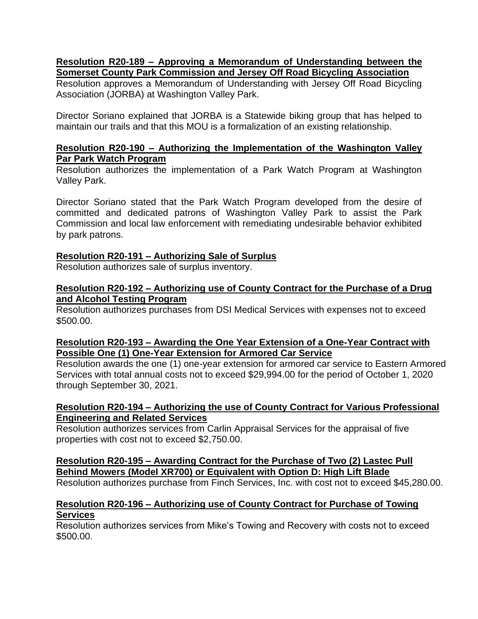## **Resolution R20-189 – Approving a Memorandum of Understanding between the Somerset County Park Commission and Jersey Off Road Bicycling Association**

Resolution approves a Memorandum of Understanding with Jersey Off Road Bicycling Association (JORBA) at Washington Valley Park.

Director Soriano explained that JORBA is a Statewide biking group that has helped to maintain our trails and that this MOU is a formalization of an existing relationship.

## **Resolution R20-190 – Authorizing the Implementation of the Washington Valley Par Park Watch Program**

Resolution authorizes the implementation of a Park Watch Program at Washington Valley Park.

Director Soriano stated that the Park Watch Program developed from the desire of committed and dedicated patrons of Washington Valley Park to assist the Park Commission and local law enforcement with remediating undesirable behavior exhibited by park patrons.

## **Resolution R20-191 – Authorizing Sale of Surplus**

Resolution authorizes sale of surplus inventory.

### **Resolution R20-192 – Authorizing use of County Contract for the Purchase of a Drug and Alcohol Testing Program**

Resolution authorizes purchases from DSI Medical Services with expenses not to exceed \$500.00.

## **Resolution R20-193 – Awarding the One Year Extension of a One-Year Contract with Possible One (1) One-Year Extension for Armored Car Service**

Resolution awards the one (1) one-year extension for armored car service to Eastern Armored Services with total annual costs not to exceed \$29,994.00 for the period of October 1, 2020 through September 30, 2021.

## **Resolution R20-194 – Authorizing the use of County Contract for Various Professional Engineering and Related Services**

Resolution authorizes services from Carlin Appraisal Services for the appraisal of five properties with cost not to exceed \$2,750.00.

# **Resolution R20-195 – Awarding Contract for the Purchase of Two (2) Lastec Pull Behind Mowers (Model XR700) or Equivalent with Option D: High Lift Blade**

Resolution authorizes purchase from Finch Services, Inc. with cost not to exceed \$45,280.00.

## **Resolution R20-196 – Authorizing use of County Contract for Purchase of Towing Services**

Resolution authorizes services from Mike's Towing and Recovery with costs not to exceed \$500.00.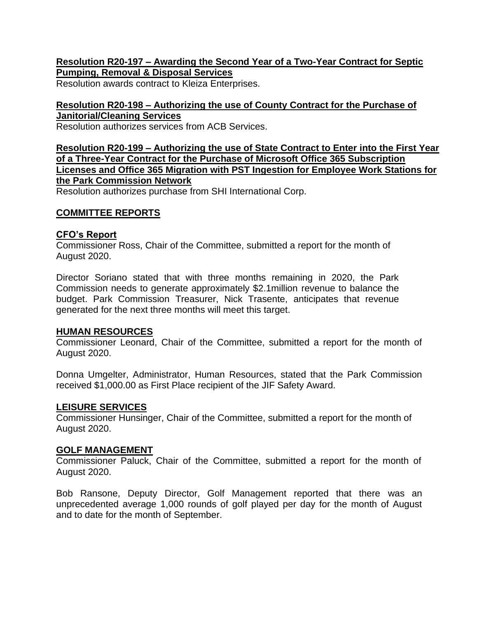## **Resolution R20-197 – Awarding the Second Year of a Two-Year Contract for Septic Pumping, Removal & Disposal Services**

Resolution awards contract to Kleiza Enterprises.

## **Resolution R20-198 – Authorizing the use of County Contract for the Purchase of Janitorial/Cleaning Services**

Resolution authorizes services from ACB Services.

## **Resolution R20-199 – Authorizing the use of State Contract to Enter into the First Year of a Three-Year Contract for the Purchase of Microsoft Office 365 Subscription Licenses and Office 365 Migration with PST Ingestion for Employee Work Stations for the Park Commission Network**

Resolution authorizes purchase from SHI International Corp.

## **COMMITTEE REPORTS**

## **CFO's Report**

Commissioner Ross, Chair of the Committee, submitted a report for the month of August 2020.

Director Soriano stated that with three months remaining in 2020, the Park Commission needs to generate approximately \$2.1million revenue to balance the budget. Park Commission Treasurer, Nick Trasente, anticipates that revenue generated for the next three months will meet this target.

### **HUMAN RESOURCES**

Commissioner Leonard, Chair of the Committee, submitted a report for the month of August 2020.

Donna Umgelter, Administrator, Human Resources, stated that the Park Commission received \$1,000.00 as First Place recipient of the JIF Safety Award.

### **LEISURE SERVICES**

Commissioner Hunsinger, Chair of the Committee, submitted a report for the month of August 2020.

### **GOLF MANAGEMENT**

Commissioner Paluck, Chair of the Committee, submitted a report for the month of August 2020.

Bob Ransone, Deputy Director, Golf Management reported that there was an unprecedented average 1,000 rounds of golf played per day for the month of August and to date for the month of September.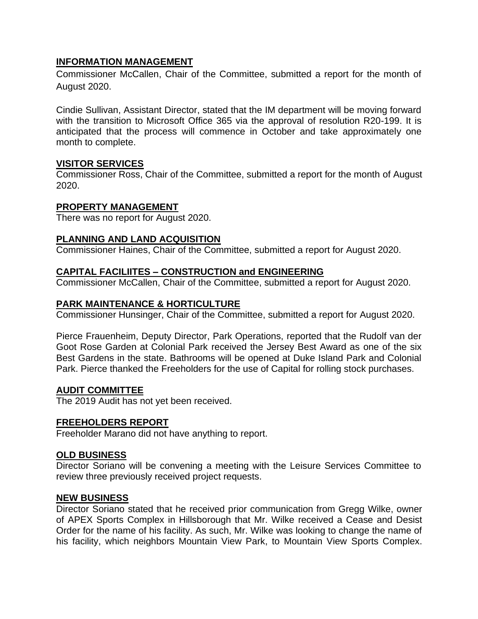# **INFORMATION MANAGEMENT**

Commissioner McCallen, Chair of the Committee, submitted a report for the month of August 2020.

Cindie Sullivan, Assistant Director, stated that the IM department will be moving forward with the transition to Microsoft Office 365 via the approval of resolution R20-199. It is anticipated that the process will commence in October and take approximately one month to complete.

## **VISITOR SERVICES**

Commissioner Ross, Chair of the Committee, submitted a report for the month of August 2020.

### **PROPERTY MANAGEMENT**

There was no report for August 2020.

### **PLANNING AND LAND ACQUISITION**

Commissioner Haines, Chair of the Committee, submitted a report for August 2020.

### **CAPITAL FACILIITES – CONSTRUCTION and ENGINEERING**

Commissioner McCallen, Chair of the Committee, submitted a report for August 2020.

### **PARK MAINTENANCE & HORTICULTURE**

Commissioner Hunsinger, Chair of the Committee, submitted a report for August 2020.

Pierce Frauenheim, Deputy Director, Park Operations, reported that the Rudolf van der Goot Rose Garden at Colonial Park received the Jersey Best Award as one of the six Best Gardens in the state. Bathrooms will be opened at Duke Island Park and Colonial Park. Pierce thanked the Freeholders for the use of Capital for rolling stock purchases.

### **AUDIT COMMITTEE**

The 2019 Audit has not yet been received.

### **FREEHOLDERS REPORT**

Freeholder Marano did not have anything to report.

### **OLD BUSINESS**

Director Soriano will be convening a meeting with the Leisure Services Committee to review three previously received project requests.

### **NEW BUSINESS**

Director Soriano stated that he received prior communication from Gregg Wilke, owner of APEX Sports Complex in Hillsborough that Mr. Wilke received a Cease and Desist Order for the name of his facility. As such, Mr. Wilke was looking to change the name of his facility, which neighbors Mountain View Park, to Mountain View Sports Complex.